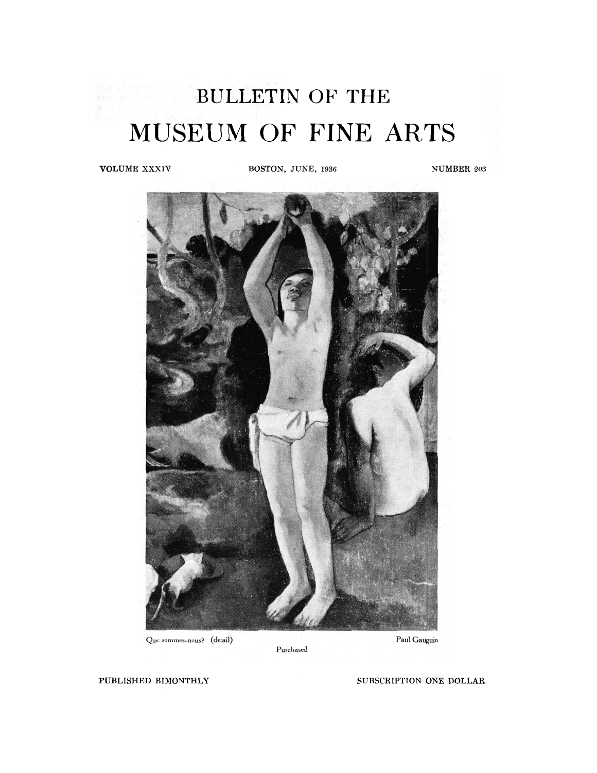# BULLETIN OF THE MUSEUM OF FINE ARTS

**VOLUME XXXIV BOSTON, JUNE, 1936** NUMBER 203



Que sommes-nous? (detail)

Paul Gauguin

Purchased

**PUBLISHED BIMONTHLY** SUBSCRIPTION ONE DOLLAR